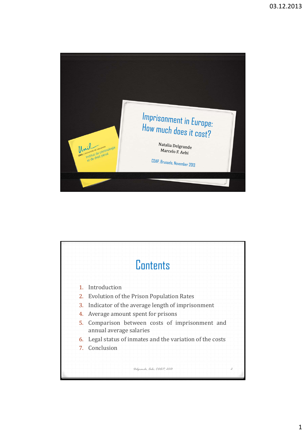

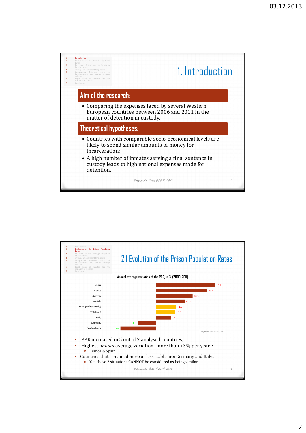

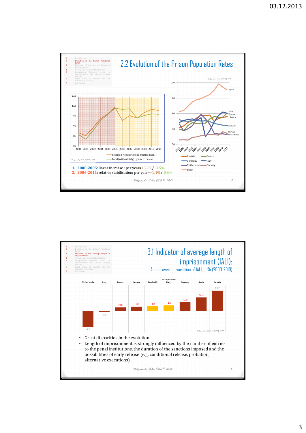

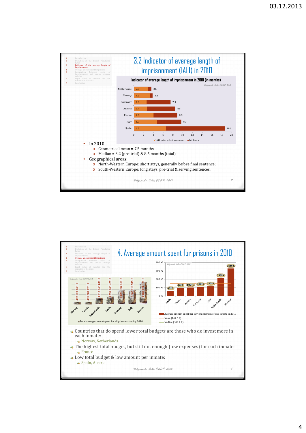

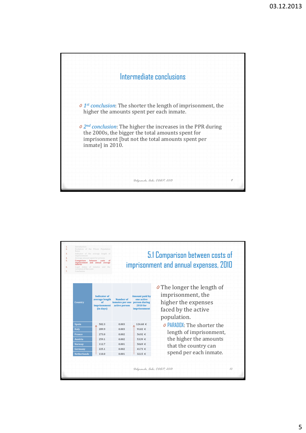

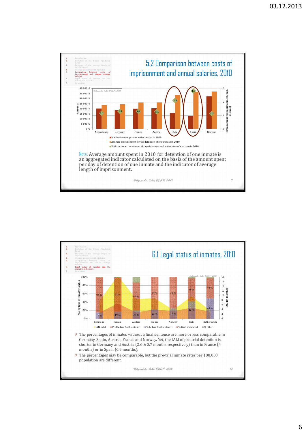

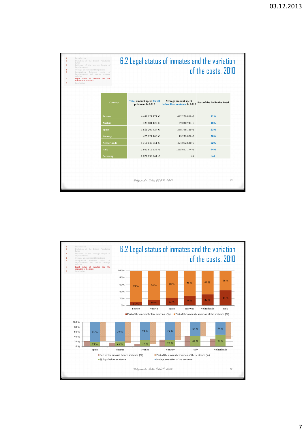| 1.<br>2.<br>3.<br>4.<br>5.<br>6.<br>7. | Introduction<br>6.2 Legal status of inmates and the variation<br>Evolution of the Prison Population<br>Rates<br>Indicator of the average length of<br>imprisonment<br>of the costs, 2010<br>Average amount spent for prisons<br>Comparison between costs of<br>imprisonment and annual average<br>salaries<br>Legal status of inmates and the<br>variation of the costs<br>Conclusion |                                                        |                                                       |                                          |
|----------------------------------------|---------------------------------------------------------------------------------------------------------------------------------------------------------------------------------------------------------------------------------------------------------------------------------------------------------------------------------------------------------------------------------------|--------------------------------------------------------|-------------------------------------------------------|------------------------------------------|
|                                        | Country                                                                                                                                                                                                                                                                                                                                                                               | <b>Total amount spent for all</b><br>prisoners in 2010 | Average amount spent<br>before final sentence in 2010 | Part of the 2 <sup>nd</sup> in the Total |
|                                        | <b>France</b>                                                                                                                                                                                                                                                                                                                                                                         | 4 481 121 171 €                                        | 492 259 810 €                                         | 11%                                      |
|                                        | Austria                                                                                                                                                                                                                                                                                                                                                                               | 429 681 120 €                                          | 69 040 944 €                                          | 16%                                      |
|                                        | <b>Spain</b>                                                                                                                                                                                                                                                                                                                                                                          | 1551200427€                                            | 348 758 140 €                                         | 23%                                      |
|                                        | Norway                                                                                                                                                                                                                                                                                                                                                                                | 425 921 100 €                                          | 119 279 820 €                                         | 28%                                      |
|                                        | <b>Netherlands</b>                                                                                                                                                                                                                                                                                                                                                                    | 1 310 040 051 €                                        | 424 082 638 €                                         | 32%                                      |
|                                        | Italy                                                                                                                                                                                                                                                                                                                                                                                 | 2862612535€                                            | 1 255 687 174 €                                       | 44%                                      |
|                                        | Germany                                                                                                                                                                                                                                                                                                                                                                               | 2821198261€                                            | <b>NA</b>                                             | <b>NA</b>                                |
|                                        |                                                                                                                                                                                                                                                                                                                                                                                       | Delgrande, Achi: CDAP, 2013                            |                                                       | 13                                       |

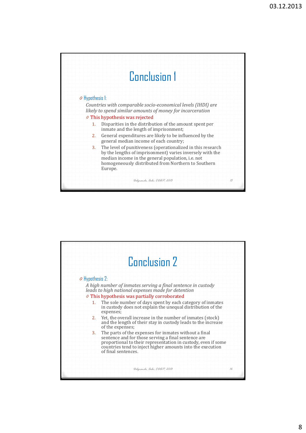